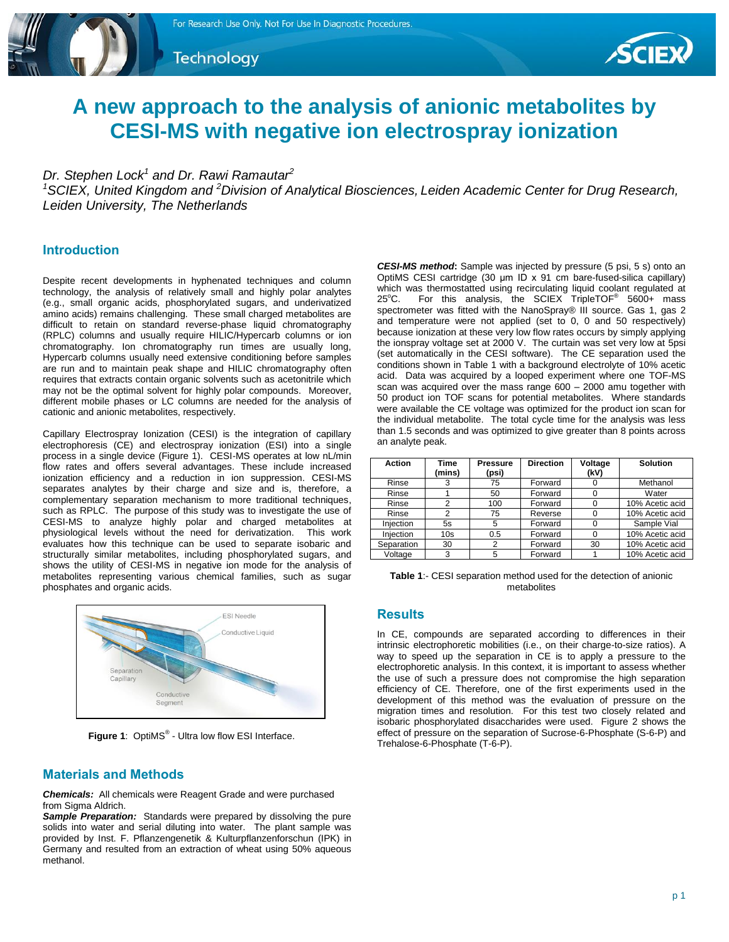Technology



# **A new approach to the analysis of anionic metabolites by CESI-MS with negative ion electrospray ionization**

# *Dr. Stephen Lock<sup>1</sup> and Dr. Rawi Ramautar<sup>2</sup>*

*<sup>1</sup>SCIEX, United Kingdom and <sup>2</sup>Division of Analytical Biosciences, Leiden Academic Center for Drug Research, Leiden University, The Netherlands*

## **Introduction**

Despite recent developments in hyphenated techniques and column technology, the analysis of relatively small and highly polar analytes (e.g., small organic acids, phosphorylated sugars, and underivatized amino acids) remains challenging. These small charged metabolites are difficult to retain on standard reverse-phase liquid chromatography (RPLC) columns and usually require HILIC/Hypercarb columns or ion chromatography. Ion chromatography run times are usually long, Hypercarb columns usually need extensive conditioning before samples are run and to maintain peak shape and HILIC chromatography often requires that extracts contain organic solvents such as acetonitrile which may not be the optimal solvent for highly polar compounds. Moreover, different mobile phases or LC columns are needed for the analysis of cationic and anionic metabolites, respectively.

Capillary Electrospray Ionization (CESI) is the integration of capillary electrophoresis (CE) and electrospray ionization (ESI) into a single process in a single device (Figure 1). CESI-MS operates at low nL/min flow rates and offers several advantages. These include increased ionization efficiency and a reduction in ion suppression. CESI-MS separates analytes by their charge and size and is, therefore, a complementary separation mechanism to more traditional techniques, such as RPLC. The purpose of this study was to investigate the use of CESI-MS to analyze highly polar and charged metabolites at physiological levels without the need for derivatization. This work evaluates how this technique can be used to separate isobaric and structurally similar metabolites, including phosphorylated sugars, and shows the utility of CESI-MS in negative ion mode for the analysis of metabolites representing various chemical families, such as sugar phosphates and organic acids.



**Figure 1:** OptiMS<sup>®</sup> - Ultra low flow ESI Interface.

## **Materials and Methods**

*Chemicals:*All chemicals were Reagent Grade and were purchased from Sigma Aldrich.

Sample Preparation: Standards were prepared by dissolving the pure solids into water and serial diluting into water. The plant sample was provided by Inst. F. Pflanzengenetik & Kulturpflanzenforschun (IPK) in Germany and resulted from an extraction of wheat using 50% aqueous methanol.

*CESI-MS method***:** Sample was injected by pressure (5 psi, 5 s) onto an OptiMS CESI cartridge (30 μm ID x 91 cm bare-fused-silica capillary) which was thermostatted using recirculating liquid coolant regulated at 25 $^{\circ}$ C. For this analysis, the SCIEX TripleTOF $^{\circ}$  5600+ mass spectrometer was fitted with the NanoSpray® III source. Gas 1, gas 2 and temperature were not applied (set to 0, 0 and 50 respectively) because ionization at these very low flow rates occurs by simply applying the ionspray voltage set at 2000 V. The curtain was set very low at 5psi (set automatically in the CESI software). The CE separation used the conditions shown in Table 1 with a background electrolyte of 10% acetic acid. Data was acquired by a looped experiment where one TOF-MS scan was acquired over the mass range 600 – 2000 amu together with 50 product ion TOF scans for potential metabolites. Where standards were available the CE voltage was optimized for the product ion scan for the individual metabolite. The total cycle time for the analysis was less than 1.5 seconds and was optimized to give greater than 8 points across an analyte peak.

| <b>Action</b> | <b>Time</b><br>(mins) | <b>Pressure</b><br>(psi) | <b>Direction</b> | Voltage<br>(kV) | <b>Solution</b> |
|---------------|-----------------------|--------------------------|------------------|-----------------|-----------------|
| Rinse         | 3                     | 75                       | Forward          |                 | Methanol        |
| Rinse         |                       | 50                       | Forward          |                 | Water           |
| Rinse         | $\overline{2}$        | 100                      | Forward          | $\Omega$        | 10% Acetic acid |
| Rinse         | 2                     | 75                       | Reverse          |                 | 10% Acetic acid |
| Injection     | 5s                    | 5                        | Forward          |                 | Sample Vial     |
| Injection     | 10 <sub>s</sub>       | 0.5                      | Forward          | $\Omega$        | 10% Acetic acid |
| Separation    | 30                    | 2                        | Forward          | 30              | 10% Acetic acid |
| Voltage       | 3                     | 5                        | Forward          |                 | 10% Acetic acid |

**Table 1**:- CESI separation method used for the detection of anionic metabolites

## **Results**

In CE, compounds are separated according to differences in their intrinsic electrophoretic mobilities (i.e., on their charge-to-size ratios). A way to speed up the separation in CE is to apply a pressure to the electrophoretic analysis. In this context, it is important to assess whether the use of such a pressure does not compromise the high separation efficiency of CE. Therefore, one of the first experiments used in the development of this method was the evaluation of pressure on the migration times and resolution. For this test two closely related and isobaric phosphorylated disaccharides were used. Figure 2 shows the effect of pressure on the separation of Sucrose-6-Phosphate (S-6-P) and Trehalose-6-Phosphate (T-6-P).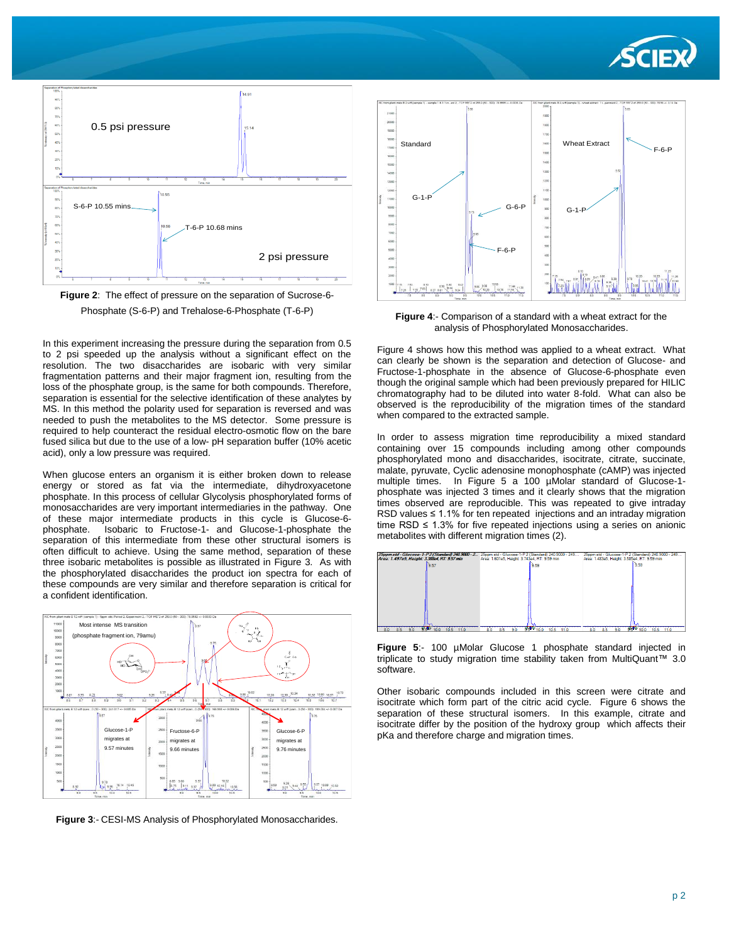



**Figure 2**: The effect of pressure on the separation of Sucrose-6- Phosphate (S-6-P) and Trehalose-6-Phosphate (T-6-P)

In this experiment increasing the pressure during the separation from 0.5 to 2 psi speeded up the analysis without a significant effect on the resolution. The two disaccharides are isobaric with very similar fragmentation patterns and their major fragment ion, resulting from the loss of the phosphate group, is the same for both compounds. Therefore, separation is essential for the selective identification of these analytes by MS. In this method the polarity used for separation is reversed and was needed to push the metabolites to the MS detector. Some pressure is required to help counteract the residual electro-osmotic flow on the bare fused silica but due to the use of a low- pH separation buffer (10% acetic acid), only a low pressure was required.

When glucose enters an organism it is either broken down to release energy or stored as fat via the intermediate, dihydroxyacetone phosphate. In this process of cellular Glycolysis phosphorylated forms of monosaccharides are very important intermediaries in the pathway. One of these major intermediate products in this cycle is Glucose-6 phosphate. Isobaric to Fructose-1- and Glucose-1-phosphate the separation of this intermediate from these other structural isomers is often difficult to achieve. Using the same method, separation of these three isobaric metabolites is possible as illustrated in Figure 3. As with the phosphorylated disaccharides the product ion spectra for each of these compounds are very similar and therefore separation is critical for a confident identification.



**Figure 3**:- CESI-MS Analysis of Phosphorylated Monosaccharides.



**Figure 4**:- Comparison of a standard with a wheat extract for the analysis of Phosphorylated Monosaccharides.

Figure 4 shows how this method was applied to a wheat extract. What can clearly be shown is the separation and detection of Glucose- and Fructose-1-phosphate in the absence of Glucose-6-phosphate even though the original sample which had been previously prepared for HILIC chromatography had to be diluted into water 8-fold. What can also be observed is the reproducibility of the migration times of the standard when compared to the extracted sample.

In order to assess migration time reproducibility a mixed standard containing over 15 compounds including among other compounds phosphorylated mono and disaccharides, isocitrate, citrate, succinate, malate, pyruvate, Cyclic adenosine monophosphate (cAMP) was injected multiple times. In Figure 5 a 100 µMolar standard of Glucose-1 phosphate was injected 3 times and it clearly shows that the migration times observed are reproducible. This was repeated to give intraday RSD values ≤ 1.1% for ten repeated injections and an intraday migration time RSD  $\leq$  1.3% for five repeated injections using a series on anionic metabolites with different migration times (2).



**Figure 5**:- 100 µMolar Glucose 1 phosphate standard injected in triplicate to study migration time stability taken from MultiQuant™ 3.0 software.

Other isobaric compounds included in this screen were citrate and isocitrate which form part of the citric acid cycle. Figure 6 shows the separation of these structural isomers. In this example, citrate and isocitrate differ by the position of the hydroxy group which affects their pKa and therefore charge and migration times.